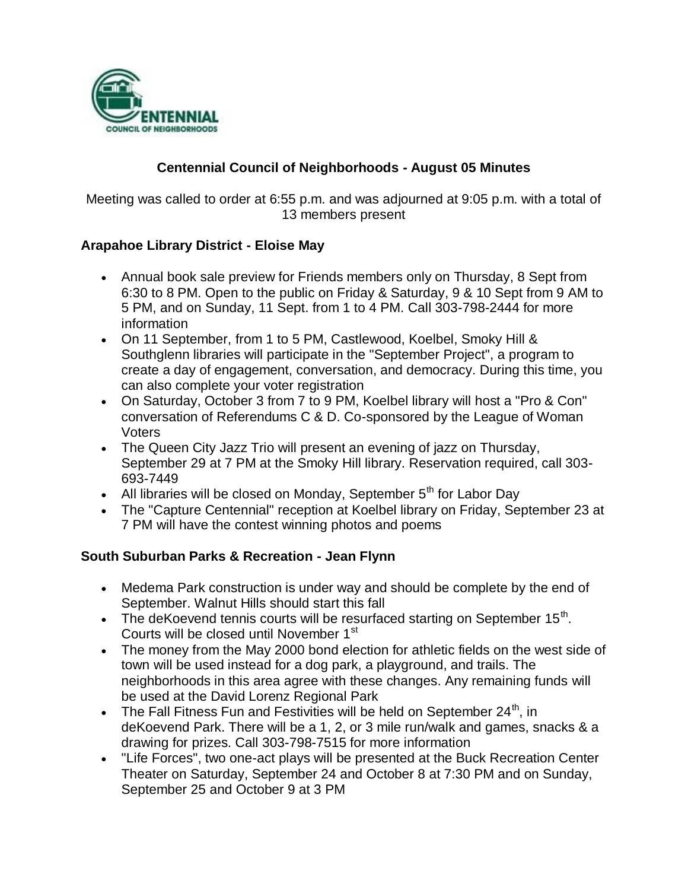

## **Centennial Council of Neighborhoods - August 05 Minutes**

Meeting was called to order at 6:55 p.m. and was adjourned at 9:05 p.m. with a total of 13 members present

## **Arapahoe Library District - Eloise May**

- Annual book sale preview for Friends members only on Thursday, 8 Sept from 6:30 to 8 PM. Open to the public on Friday & Saturday, 9 & 10 Sept from 9 AM to 5 PM, and on Sunday, 11 Sept. from 1 to 4 PM. Call 303-798-2444 for more information
- On 11 September, from 1 to 5 PM, Castlewood, Koelbel, Smoky Hill & Southglenn libraries will participate in the "September Project", a program to create a day of engagement, conversation, and democracy. During this time, you can also complete your voter registration
- On Saturday, October 3 from 7 to 9 PM, Koelbel library will host a "Pro & Con" conversation of Referendums C & D. Co-sponsored by the League of Woman Voters
- The Queen City Jazz Trio will present an evening of jazz on Thursday, September 29 at 7 PM at the Smoky Hill library. Reservation required, call 303- 693-7449
- All libraries will be closed on Monday, September  $5<sup>th</sup>$  for Labor Day
- The "Capture Centennial" reception at Koelbel library on Friday, September 23 at 7 PM will have the contest winning photos and poems

#### **South Suburban Parks & Recreation - Jean Flynn**

- Medema Park construction is under way and should be complete by the end of September. Walnut Hills should start this fall
- The deKoevend tennis courts will be resurfaced starting on September 15<sup>th</sup>. Courts will be closed until November 1<sup>st</sup>
- The money from the May 2000 bond election for athletic fields on the west side of town will be used instead for a dog park, a playground, and trails. The neighborhoods in this area agree with these changes. Any remaining funds will be used at the David Lorenz Regional Park
- The Fall Fitness Fun and Festivities will be held on September 24<sup>th</sup>, in deKoevend Park. There will be a 1, 2, or 3 mile run/walk and games, snacks & a drawing for prizes. Call 303-798-7515 for more information
- "Life Forces", two one-act plays will be presented at the Buck Recreation Center Theater on Saturday, September 24 and October 8 at 7:30 PM and on Sunday, September 25 and October 9 at 3 PM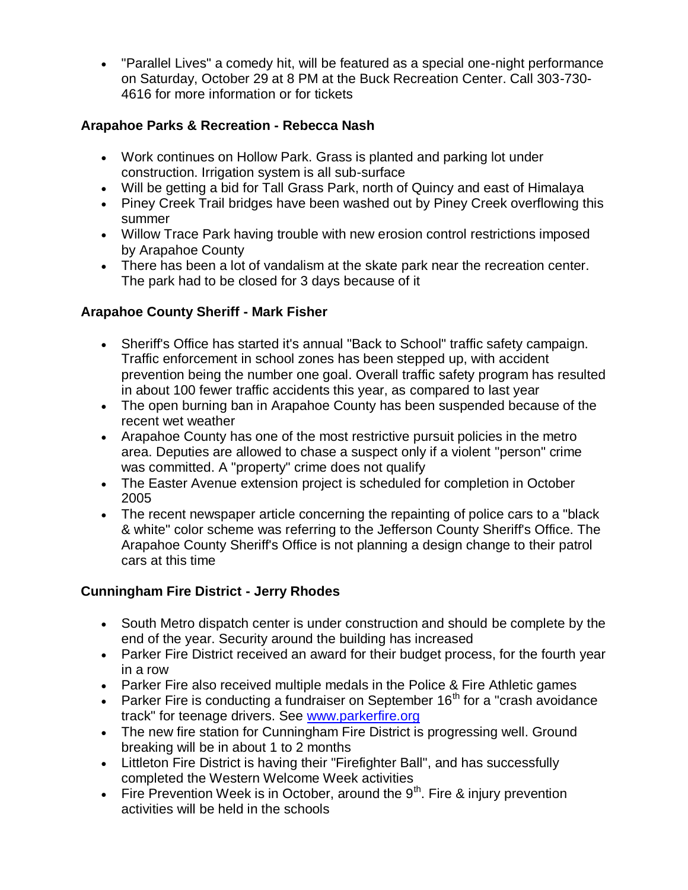"Parallel Lives" a comedy hit, will be featured as a special one-night performance on Saturday, October 29 at 8 PM at the Buck Recreation Center. Call 303-730- 4616 for more information or for tickets

## **Arapahoe Parks & Recreation - Rebecca Nash**

- Work continues on Hollow Park. Grass is planted and parking lot under construction. Irrigation system is all sub-surface
- Will be getting a bid for Tall Grass Park, north of Quincy and east of Himalaya
- Piney Creek Trail bridges have been washed out by Piney Creek overflowing this summer
- Willow Trace Park having trouble with new erosion control restrictions imposed by Arapahoe County
- There has been a lot of vandalism at the skate park near the recreation center. The park had to be closed for 3 days because of it

# **Arapahoe County Sheriff - Mark Fisher**

- Sheriff's Office has started it's annual "Back to School" traffic safety campaign. Traffic enforcement in school zones has been stepped up, with accident prevention being the number one goal. Overall traffic safety program has resulted in about 100 fewer traffic accidents this year, as compared to last year
- The open burning ban in Arapahoe County has been suspended because of the recent wet weather
- Arapahoe County has one of the most restrictive pursuit policies in the metro area. Deputies are allowed to chase a suspect only if a violent "person" crime was committed. A "property" crime does not qualify
- The Easter Avenue extension project is scheduled for completion in October 2005
- The recent newspaper article concerning the repainting of police cars to a "black" & white" color scheme was referring to the Jefferson County Sheriff's Office. The Arapahoe County Sheriff's Office is not planning a design change to their patrol cars at this time

# **Cunningham Fire District - Jerry Rhodes**

- South Metro dispatch center is under construction and should be complete by the end of the year. Security around the building has increased
- Parker Fire District received an award for their budget process, for the fourth year in a row
- Parker Fire also received multiple medals in the Police & Fire Athletic games
- Parker Fire is conducting a fundraiser on September  $16<sup>th</sup>$  for a "crash avoidance track" for teenage drivers. See www.parkerfire.org
- The new fire station for Cunningham Fire District is progressing well. Ground breaking will be in about 1 to 2 months
- Littleton Fire District is having their "Firefighter Ball", and has successfully completed the Western Welcome Week activities
- Fire Prevention Week is in October, around the  $9<sup>th</sup>$ . Fire & injury prevention activities will be held in the schools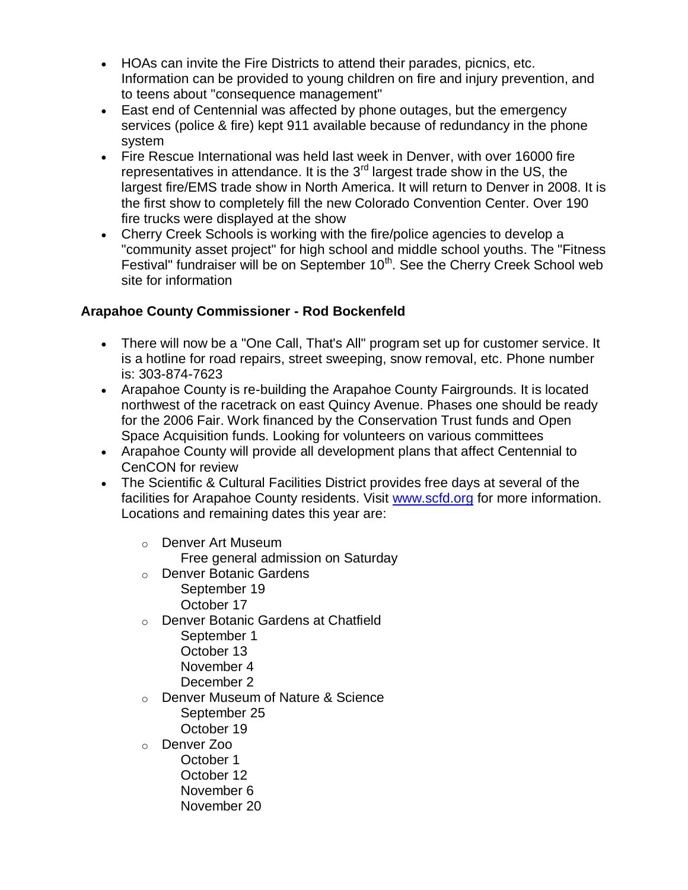- HOAs can invite the Fire Districts to attend their parades, picnics, etc. Information can be provided to young children on fire and injury prevention, and to teens about "consequence management"
- East end of Centennial was affected by phone outages, but the emergency services (police & fire) kept 911 available because of redundancy in the phone system
- Fire Rescue International was held last week in Denver, with over 16000 fire representatives in attendance. It is the 3<sup>rd</sup> largest trade show in the US, the largest fire/EMS trade show in North America. It will return to Denver in 2008. It is the first show to completely fill the new Colorado Convention Center. Over 190 fire trucks were displayed at the show
- Cherry Creek Schools is working with the fire/police agencies to develop a "community asset project" for high school and middle school youths. The "Fitness Festival" fundraiser will be on September  $10<sup>th</sup>$ . See the Cherry Creek School web site for information

# **Arapahoe County Commissioner - Rod Bockenfeld**

- There will now be a "One Call, That's All" program set up for customer service. It is a hotline for road repairs, street sweeping, snow removal, etc. Phone number is: 303-874-7623
- Arapahoe County is re-building the Arapahoe County Fairgrounds. It is located northwest of the racetrack on east Quincy Avenue. Phases one should be ready for the 2006 Fair. Work financed by the Conservation Trust funds and Open Space Acquisition funds. Looking for volunteers on various committees
- Arapahoe County will provide all development plans that affect Centennial to CenCON for review
- The Scientific & Cultural Facilities District provides free days at several of the facilities for Arapahoe County residents. Visit www.scfd.org for more information. Locations and remaining dates this year are:
	- o Denver Art Museum Free general admission on Saturday
	- o Denver Botanic Gardens September 19 October 17
	- o Denver Botanic Gardens at Chatfield
		- September 1 October 13 November 4
		- December 2
	- o Denver Museum of Nature & Science September 25 October 19
	- o Denver Zoo
		- October 1 October 12 November 6 November 20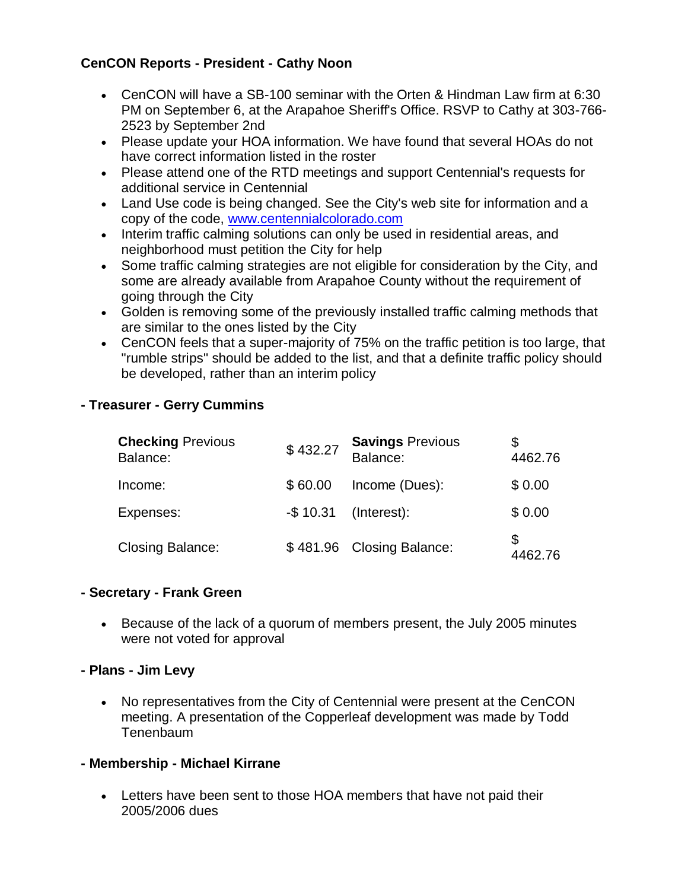## **CenCON Reports - President - Cathy Noon**

- CenCON will have a SB-100 seminar with the Orten & Hindman Law firm at 6:30 PM on September 6, at the Arapahoe Sheriff's Office. RSVP to Cathy at 303-766- 2523 by September 2nd
- Please update your HOA information. We have found that several HOAs do not have correct information listed in the roster
- Please attend one of the RTD meetings and support Centennial's requests for additional service in Centennial
- Land Use code is being changed. See the City's web site for information and a copy of the code, www.centennialcolorado.com
- Interim traffic calming solutions can only be used in residential areas, and neighborhood must petition the City for help
- Some traffic calming strategies are not eligible for consideration by the City, and some are already available from Arapahoe County without the requirement of going through the City
- Golden is removing some of the previously installed traffic calming methods that are similar to the ones listed by the City
- CenCON feels that a super-majority of 75% on the traffic petition is too large, that "rumble strips" should be added to the list, and that a definite traffic policy should be developed, rather than an interim policy

## **- Treasurer - Gerry Cummins**

| <b>Checking Previous</b><br>Balance: | \$432.27  | <b>Savings Previous</b><br>Balance: | 4462.76 |
|--------------------------------------|-----------|-------------------------------------|---------|
| Income:                              | \$60.00   | Income (Dues):                      | \$0.00  |
| Expenses:                            | $-$10.31$ | (Interest):                         | \$0.00  |
| <b>Closing Balance:</b>              |           | \$481.96 Closing Balance:           | 4462.76 |

#### **- Secretary - Frank Green**

 Because of the lack of a quorum of members present, the July 2005 minutes were not voted for approval

#### **- Plans - Jim Levy**

 No representatives from the City of Centennial were present at the CenCON meeting. A presentation of the Copperleaf development was made by Todd **Tenenbaum** 

## **- Membership - Michael Kirrane**

 Letters have been sent to those HOA members that have not paid their 2005/2006 dues